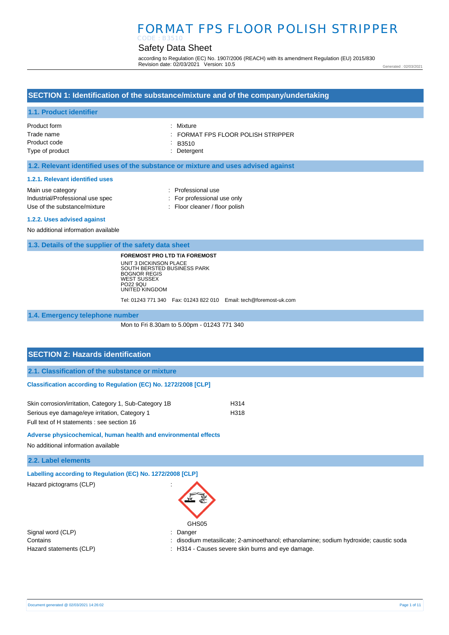## Safety Data Sheet

according to Regulation (EC) No. 1907/2006 (REACH) with its amendment Regulation (EU) 2015/830 Revision date: 02/03/2021 Version: 10.5

Generated : 02/03/2021

### **SECTION 1: Identification of the substance/mixture and of the company/undertaking**

#### **1.1. Product identifier**

| Product form    | : Mixture                        |
|-----------------|----------------------------------|
| Trade name      | FORMAT FPS FLOOR POLISH STRIPPER |
| Product code    | $-B3510$                         |
| Type of product | : Detergent                      |

#### **1.2. Relevant identified uses of the substance or mixture and uses advised against**

#### **1.2.1. Relevant identified uses**

| Main use category                | : Professional use                        |
|----------------------------------|-------------------------------------------|
| Industrial/Professional use spec | : For professional use only               |
| Use of the substance/mixture     | $\therefore$ Floor cleaner / floor polish |
| 1.2.2. Uses advised against      |                                           |

No additional information available

**1.3. Details of the supplier of the safety data sheet**

**FOREMOST PRO LTD T/A FOREMOST** UNIT 3 DICKINSON PLACE SOUTH BERSTED BUSINESS PARK BOGNOR REGIS WEST SUSSEX PO22 9QU UNITED KINGDOM

Tel: 01243 771 340 Fax: 01243 822 010 Email: tech@foremost-uk.com

**1.4. Emergency telephone number**

Mon to Fri 8.30am to 5.00pm - 01243 771 340

# **SECTION 2: Hazards identification 2.1. Classification of the substance or mixture Classification according to Regulation (EC) No. 1272/2008 [CLP]** Skin corrosion/irritation, Category 1, Sub-Category 1B H314

Serious eye damage/eye irritation, Category 1 H318 Full text of H statements : see section 16

**Adverse physicochemical, human health and environmental effects** 

No additional information available

**2.2. Label elements**

**Labelling according to Regulation (EC) No. 1272/2008 [CLP]** 

Hazard pictograms (CLP) :



Signal word (CLP) **in the set of the CLP** of the Signal word (CLP) **in the Signal word (CLP**)

Contains **contains** : disodium metasilicate; 2-aminoethanol; ethanolamine; sodium hydroxide; caustic soda

Hazard statements (CLP)  $\qquad \qquad$ : H314 - Causes severe skin burns and eye damage.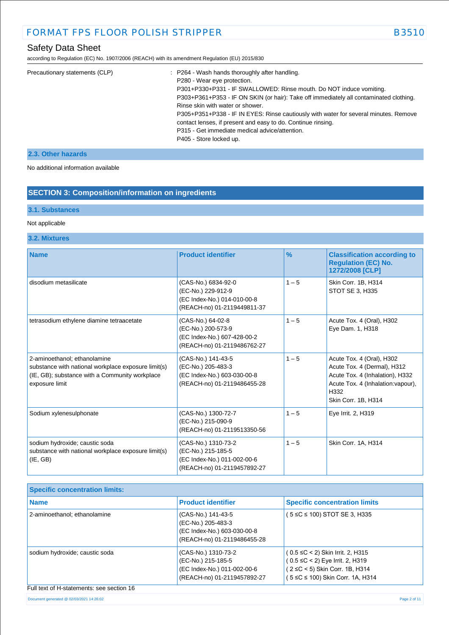according to Regulation (EC) No. 1907/2006 (REACH) with its amendment Regulation (EU) 2015/830

| Precautionary statements (CLP) | : P264 - Wash hands thoroughly after handling.                                         |
|--------------------------------|----------------------------------------------------------------------------------------|
|                                | P280 - Wear eye protection.                                                            |
|                                | P301+P330+P331 - IF SWALLOWED: Rinse mouth. Do NOT induce vomiting.                    |
|                                | P303+P361+P353 - IF ON SKIN (or hair): Take off immediately all contaminated clothing. |
|                                | Rinse skin with water or shower.                                                       |
|                                | P305+P351+P338 - IF IN EYES: Rinse cautiously with water for several minutes. Remove   |
|                                | contact lenses, if present and easy to do. Continue rinsing.                           |
|                                | P315 - Get immediate medical advice/attention.                                         |
|                                | P405 - Store locked up.                                                                |
|                                |                                                                                        |

### **2.3. Other hazards**

No additional information available

## **SECTION 3: Composition/information on ingredients**

#### **3.1. Substances**

#### Not applicable

## **3.2. Mixtures**

| <b>Name</b>                                                                                                                                             | <b>Product identifier</b>                                                                               | $\frac{9}{6}$ | <b>Classification according to</b><br><b>Regulation (EC) No.</b><br>1272/2008 [CLP]                                                                              |
|---------------------------------------------------------------------------------------------------------------------------------------------------------|---------------------------------------------------------------------------------------------------------|---------------|------------------------------------------------------------------------------------------------------------------------------------------------------------------|
| disodium metasilicate                                                                                                                                   | (CAS-No.) 6834-92-0<br>(EC-No.) 229-912-9<br>(EC Index-No.) 014-010-00-8<br>(REACH-no) 01-2119449811-37 | $1 - 5$       | Skin Corr. 1B, H314<br><b>STOT SE 3, H335</b>                                                                                                                    |
| tetrasodium ethylene diamine tetraacetate                                                                                                               | (CAS-No.) 64-02-8<br>(EC-No.) 200-573-9<br>(EC Index-No.) 607-428-00-2<br>(REACH-no) 01-2119486762-27   | $1 - 5$       | Acute Tox. 4 (Oral), H302<br>Eye Dam. 1, H318                                                                                                                    |
| 2-aminoethanol; ethanolamine<br>substance with national workplace exposure limit(s)<br>(IE, GB); substance with a Community workplace<br>exposure limit | (CAS-No.) 141-43-5<br>(EC-No.) 205-483-3<br>(EC Index-No.) 603-030-00-8<br>(REACH-no) 01-2119486455-28  | $1 - 5$       | Acute Tox. 4 (Oral), H302<br>Acute Tox. 4 (Dermal), H312<br>Acute Tox. 4 (Inhalation), H332<br>Acute Tox. 4 (Inhalation: vapour),<br>H332<br>Skin Corr. 1B, H314 |
| Sodium xylenesulphonate                                                                                                                                 | (CAS-No.) 1300-72-7<br>(EC-No.) 215-090-9<br>(REACH-no) 01-2119513350-56                                | $1 - 5$       | Eye Irrit. 2, H319                                                                                                                                               |
| sodium hydroxide; caustic soda<br>substance with national workplace exposure limit(s)<br>(IE, GB)                                                       | (CAS-No.) 1310-73-2<br>(EC-No.) 215-185-5<br>(EC Index-No.) 011-002-00-6<br>(REACH-no) 01-2119457892-27 | $1 - 5$       | Skin Corr. 1A, H314                                                                                                                                              |

| <b>Name</b>                    | <b>Product identifier</b>                                                                               | <b>Specific concentration limits</b>                                                                                                                 |
|--------------------------------|---------------------------------------------------------------------------------------------------------|------------------------------------------------------------------------------------------------------------------------------------------------------|
| 2-aminoethanol; ethanolamine   | (CAS-No.) 141-43-5<br>(EC-No.) 205-483-3<br>(EC Index-No.) 603-030-00-8<br>(REACH-no) 01-2119486455-28  | ( 5 ≤C ≤ 100) STOT SE 3, H335                                                                                                                        |
| sodium hydroxide; caustic soda | (CAS-No.) 1310-73-2<br>(EC-No.) 215-185-5<br>(EC Index-No.) 011-002-00-6<br>(REACH-no) 01-2119457892-27 | $(0.5 \leq C < 2)$ Skin Irrit. 2, H315<br>$(0.5 \leq C < 2)$ Eye Irrit. 2, H319<br>(2 ≤C < 5) Skin Corr. 1B, H314<br>5 ≤C ≤ 100) Skin Corr. 1A, H314 |

#### Document generated @ 02/03/2021 14:26:02 Page 2 of 11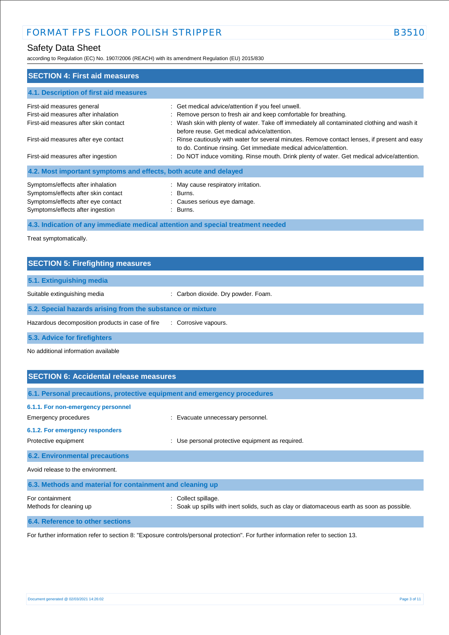## Safety Data Sheet

according to Regulation (EC) No. 1907/2006 (REACH) with its amendment Regulation (EU) 2015/830

| <b>SECTION 4: First aid measures</b>                                                                                                               |                                                                                                                                                                                                                                                                       |
|----------------------------------------------------------------------------------------------------------------------------------------------------|-----------------------------------------------------------------------------------------------------------------------------------------------------------------------------------------------------------------------------------------------------------------------|
| 4.1. Description of first aid measures                                                                                                             |                                                                                                                                                                                                                                                                       |
| First-aid measures general<br>First-aid measures after inhalation<br>First-aid measures after skin contact                                         | : Get medical advice/attention if you feel unwell.<br>: Remove person to fresh air and keep comfortable for breathing.<br>: Wash skin with plenty of water. Take off immediately all contaminated clothing and wash it<br>before reuse. Get medical advice/attention. |
| First-aid measures after eye contact<br>First-aid measures after ingestion                                                                         | : Rinse cautiously with water for several minutes. Remove contact lenses, if present and easy<br>to do. Continue rinsing. Get immediate medical advice/attention.<br>: Do NOT induce vomiting. Rinse mouth. Drink plenty of water. Get medical advice/attention.      |
| 4.2. Most important symptoms and effects, both acute and delayed                                                                                   |                                                                                                                                                                                                                                                                       |
| Symptoms/effects after inhalation<br>Symptoms/effects after skin contact<br>Symptoms/effects after eye contact<br>Symptoms/effects after ingestion | : May cause respiratory irritation.<br>: Burns.<br>: Causes serious eye damage.<br>: Burns.                                                                                                                                                                           |
|                                                                                                                                                    | 4.3. Indication of any immediate medical attention and special treatment needed                                                                                                                                                                                       |

Treat symptomatically.

| <b>SECTION 5: Firefighting measures</b>                    |                                     |
|------------------------------------------------------------|-------------------------------------|
| 5.1. Extinguishing media                                   |                                     |
| Suitable extinguishing media                               | : Carbon dioxide. Dry powder. Foam. |
| 5.2. Special hazards arising from the substance or mixture |                                     |
| Hazardous decomposition products in case of fire           | : Corrosive vapours.                |
| 5.3. Advice for firefighters                               |                                     |

No additional information available

| <b>SECTION 6: Accidental release measures</b>                                                                         |                                                                                                                |  |
|-----------------------------------------------------------------------------------------------------------------------|----------------------------------------------------------------------------------------------------------------|--|
| 6.1. Personal precautions, protective equipment and emergency procedures                                              |                                                                                                                |  |
| 6.1.1. For non-emergency personnel<br>Emergency procedures<br>6.1.2. For emergency responders<br>Protective equipment | Evacuate unnecessary personnel.<br>Use personal protective equipment as required.                              |  |
| <b>6.2. Environmental precautions</b>                                                                                 |                                                                                                                |  |
| Avoid release to the environment.                                                                                     |                                                                                                                |  |
| 6.3. Methods and material for containment and cleaning up                                                             |                                                                                                                |  |
| For containment<br>Methods for cleaning up                                                                            | Collect spillage.<br>Soak up spills with inert solids, such as clay or diatomaceous earth as soon as possible. |  |
| 6.4. Reference to other sections                                                                                      |                                                                                                                |  |

For further information refer to section 8: "Exposure controls/personal protection". For further information refer to section 13.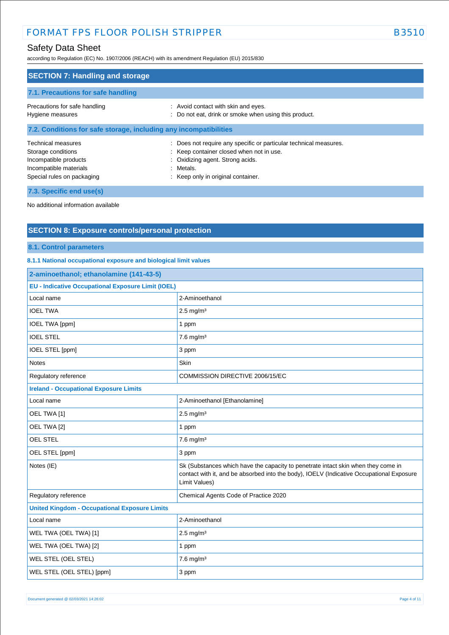according to Regulation (EC) No. 1907/2006 (REACH) with its amendment Regulation (EU) 2015/830

| <b>SECTION 7: Handling and storage</b>                                                                                           |                                                                                                                                                                                                      |  |
|----------------------------------------------------------------------------------------------------------------------------------|------------------------------------------------------------------------------------------------------------------------------------------------------------------------------------------------------|--|
| 7.1. Precautions for safe handling                                                                                               |                                                                                                                                                                                                      |  |
| Precautions for safe handling<br>Hygiene measures                                                                                | : Avoid contact with skin and eyes.<br>: Do not eat, drink or smoke when using this product.                                                                                                         |  |
| 7.2. Conditions for safe storage, including any incompatibilities                                                                |                                                                                                                                                                                                      |  |
| <b>Technical measures</b><br>Storage conditions<br>Incompatible products<br>Incompatible materials<br>Special rules on packaging | : Does not require any specific or particular technical measures.<br>: Keep container closed when not in use.<br>: Oxidizing agent. Strong acids.<br>: Metals.<br>: Keep only in original container. |  |
| 7.3. Specific end use(s)                                                                                                         |                                                                                                                                                                                                      |  |

No additional information available

## **SECTION 8: Exposure controls/personal protection**

**8.1. Control parameters**

### **8.1.1 National occupational exposure and biological limit values**

| 2-aminoethanol; ethanolamine (141-43-5)                   |                                                                                                                                                                                                |  |
|-----------------------------------------------------------|------------------------------------------------------------------------------------------------------------------------------------------------------------------------------------------------|--|
| <b>EU - Indicative Occupational Exposure Limit (IOEL)</b> |                                                                                                                                                                                                |  |
| Local name                                                | 2-Aminoethanol                                                                                                                                                                                 |  |
| <b>IOEL TWA</b>                                           | $2.5$ mg/m <sup>3</sup>                                                                                                                                                                        |  |
| <b>IOEL TWA [ppm]</b>                                     | 1 ppm                                                                                                                                                                                          |  |
| <b>IOEL STEL</b>                                          | $7.6$ mg/m <sup>3</sup>                                                                                                                                                                        |  |
| IOEL STEL [ppm]                                           | 3 ppm                                                                                                                                                                                          |  |
| <b>Notes</b>                                              | Skin                                                                                                                                                                                           |  |
| Regulatory reference                                      | COMMISSION DIRECTIVE 2006/15/EC                                                                                                                                                                |  |
| <b>Ireland - Occupational Exposure Limits</b>             |                                                                                                                                                                                                |  |
| Local name                                                | 2-Aminoethanol [Ethanolamine]                                                                                                                                                                  |  |
| OEL TWA [1]                                               | $2.5$ mg/m <sup>3</sup>                                                                                                                                                                        |  |
| OEL TWA [2]                                               | 1 ppm                                                                                                                                                                                          |  |
| OEL STEL                                                  | $7.6$ mg/m <sup>3</sup>                                                                                                                                                                        |  |
| OEL STEL [ppm]                                            | 3 ppm                                                                                                                                                                                          |  |
| Notes (IE)                                                | Sk (Substances which have the capacity to penetrate intact skin when they come in<br>contact with it, and be absorbed into the body), IOELV (Indicative Occupational Exposure<br>Limit Values) |  |
| Regulatory reference                                      | Chemical Agents Code of Practice 2020                                                                                                                                                          |  |
| <b>United Kingdom - Occupational Exposure Limits</b>      |                                                                                                                                                                                                |  |
| Local name                                                | 2-Aminoethanol                                                                                                                                                                                 |  |
| WEL TWA (OEL TWA) [1]                                     | $2.5$ mg/m <sup>3</sup>                                                                                                                                                                        |  |
| WEL TWA (OEL TWA) [2]                                     | 1 ppm                                                                                                                                                                                          |  |
| WEL STEL (OEL STEL)                                       | $7.6$ mg/m <sup>3</sup>                                                                                                                                                                        |  |
| WEL STEL (OEL STEL) [ppm]                                 | 3 ppm                                                                                                                                                                                          |  |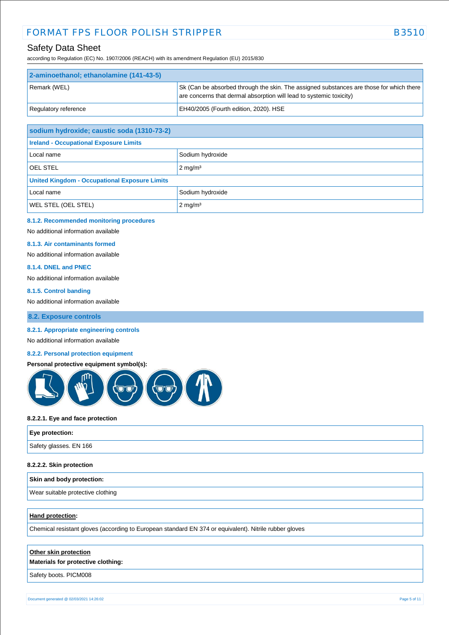according to Regulation (EC) No. 1907/2006 (REACH) with its amendment Regulation (EU) 2015/830

| 2-aminoethanol; ethanolamine (141-43-5) |                                                                                                                                                                |
|-----------------------------------------|----------------------------------------------------------------------------------------------------------------------------------------------------------------|
| Remark (WEL)                            | Sk (Can be absorbed through the skin. The assigned substances are those for which there<br>are concerns that dermal absorption will lead to systemic toxicity) |
| Regulatory reference                    | EH40/2005 (Fourth edition, 2020). HSE                                                                                                                          |

| sodium hydroxide; caustic soda (1310-73-2)           |                    |  |
|------------------------------------------------------|--------------------|--|
| <b>Ireland - Occupational Exposure Limits</b>        |                    |  |
| Local name                                           | Sodium hydroxide   |  |
| <b>OEL STEL</b>                                      | $2 \text{ mg/m}^3$ |  |
| <b>United Kingdom - Occupational Exposure Limits</b> |                    |  |
| Local name                                           | Sodium hydroxide   |  |
| <b>WEL STEL (OEL STEL)</b>                           | $2 \text{ mg/m}^3$ |  |

#### **8.1.2. Recommended monitoring procedures**

No additional information available

#### **8.1.3. Air contaminants formed**

No additional information available

### **8.1.4. DNEL and PNEC**

No additional information available

#### **8.1.5. Control banding**

No additional information available

#### **8.2. Exposure controls**

#### **8.2.1. Appropriate engineering controls**

No additional information available

#### **8.2.2. Personal protection equipment**

#### **Personal protective equipment symbol(s):**



#### **8.2.2.1. Eye and face protection**

| Eye protection:        |  |
|------------------------|--|
| Safety glasses. EN 166 |  |

#### **8.2.2.2. Skin protection**

| Skin and body protection:         |  |
|-----------------------------------|--|
| Wear suitable protective clothing |  |

#### **Hand protection:**

Chemical resistant gloves (according to European standard EN 374 or equivalent). Nitrile rubber gloves

#### **Other skin protection**

**Materials for protective clothing:**

Safety boots. PICM008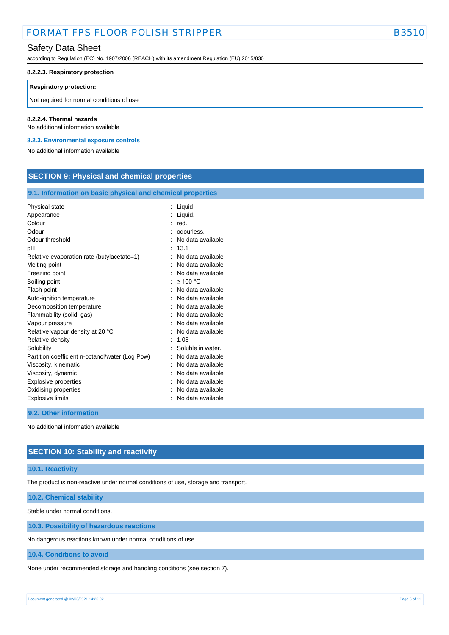## Safety Data Sheet

according to Regulation (EC) No. 1907/2006 (REACH) with its amendment Regulation (EU) 2015/830

#### **8.2.2.3. Respiratory protection**

#### **Respiratory protection:**

Not required for normal conditions of use

#### **8.2.2.4. Thermal hazards**

No additional information available

**8.2.3. Environmental exposure controls** 

No additional information available

### **SECTION 9: Physical and chemical properties**

#### **9.1. Information on basic physical and chemical properties**

| Physical state                                  | Liquid            |
|-------------------------------------------------|-------------------|
| Appearance                                      | Liquid.           |
| Colour                                          | red.              |
| Odour                                           | odourless.        |
| Odour threshold                                 | No data available |
| рH                                              | 13.1              |
| Relative evaporation rate (butylacetate=1)      | No data available |
| Melting point                                   | No data available |
| Freezing point                                  | No data available |
|                                                 | $\geq 100$ °C     |
| Boiling point                                   |                   |
| Flash point                                     | No data available |
| Auto-ignition temperature                       | No data available |
| Decomposition temperature                       | No data available |
| Flammability (solid, gas)                       | No data available |
| Vapour pressure                                 | No data available |
| Relative vapour density at 20 °C                | No data available |
| Relative density                                | 1.08              |
| Solubility                                      | Soluble in water. |
| Partition coefficient n-octanol/water (Log Pow) | No data available |
| Viscosity, kinematic                            | No data available |
| Viscosity, dynamic                              | No data available |
| Explosive properties                            | No data available |
| Oxidising properties                            | No data available |
| <b>Explosive limits</b>                         | No data available |

#### **9.2. Other information**

No additional information available

### **SECTION 10: Stability and reactivity**

#### **10.1. Reactivity**

The product is non-reactive under normal conditions of use, storage and transport.

**10.2. Chemical stability**

Stable under normal conditions.

**10.3. Possibility of hazardous reactions**

No dangerous reactions known under normal conditions of use.

#### **10.4. Conditions to avoid**

None under recommended storage and handling conditions (see section 7).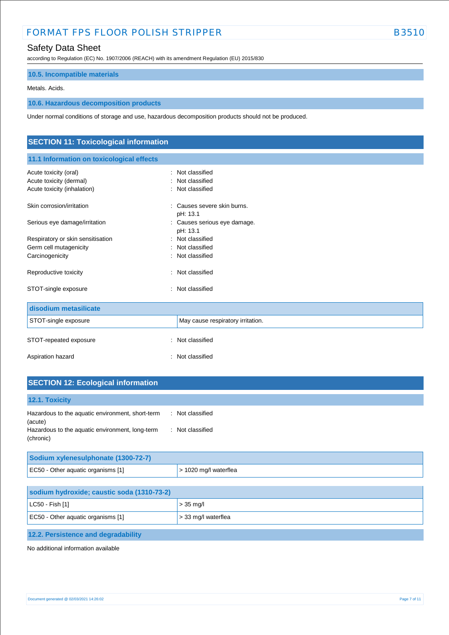## Safety Data Sheet

according to Regulation (EC) No. 1907/2006 (REACH) with its amendment Regulation (EU) 2015/830

## **10.5. Incompatible materials**

#### Metals. Acids.

### **10.6. Hazardous decomposition products**

Under normal conditions of storage and use, hazardous decomposition products should not be produced.

| <b>SECTION 11: Toxicological information</b> |                                          |  |
|----------------------------------------------|------------------------------------------|--|
| 11.1 Information on toxicological effects    |                                          |  |
| Acute toxicity (oral)                        | : Not classified                         |  |
| Acute toxicity (dermal)                      | Not classified                           |  |
| Acute toxicity (inhalation)                  | Not classified                           |  |
| Skin corrosion/irritation                    | : Causes severe skin burns.              |  |
|                                              | pH: 13.1                                 |  |
| Serious eye damage/irritation                | : Causes serious eye damage.<br>pH: 13.1 |  |
| Respiratory or skin sensitisation            | : Not classified                         |  |
| Germ cell mutagenicity                       | : Not classified                         |  |
| Carcinogenicity                              | Not classified                           |  |
| Reproductive toxicity                        | Not classified<br>٠.                     |  |
| STOT-single exposure                         | Not classified<br>÷                      |  |
| disodium metasilicate                        |                                          |  |
| STOT-single exposure                         | May cause respiratory irritation.        |  |
| STOT-repeated exposure                       | Not classified<br>÷                      |  |
| Aspiration hazard                            | Not classified                           |  |

| <b>SECTION 12: Ecological information</b>                    |                  |
|--------------------------------------------------------------|------------------|
| 12.1. Toxicity                                               |                  |
| Hazardous to the aquatic environment, short-term<br>(acute)  | : Not classified |
| Hazardous to the aquatic environment, long-term<br>(chronic) | : Not classified |

| Sodium xylenesulphonate (1300-72-7) |                               |
|-------------------------------------|-------------------------------|
| EC50 - Other aquatic organisms [1]  | $\vert$ > 1020 mg/l waterflea |

| sodium hydroxide; caustic soda (1310-73-2) |                          |  |
|--------------------------------------------|--------------------------|--|
| $ $ LC50 - Fish [1]                        | $> 35$ mg/l              |  |
| EC50 - Other aquatic organisms [1]         | $\geq$ 33 mg/l waterflea |  |
| 12.2. Persistence and degradability        |                          |  |

No additional information available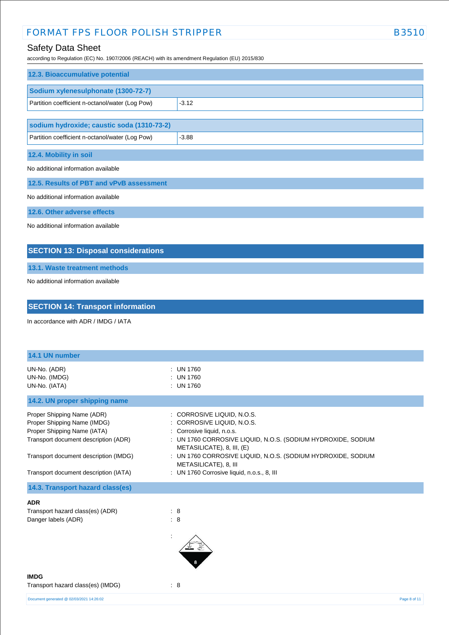## Safety Data Sheet

according to Regulation (EC) No. 1907/2006 (REACH) with its amendment Regulation (EU) 2015/830

| 12.3. Bioaccumulative potential                 |         |
|-------------------------------------------------|---------|
| Sodium xylenesulphonate (1300-72-7)             |         |
| Partition coefficient n-octanol/water (Log Pow) | $-3.12$ |
|                                                 |         |
| sodium hydroxide; caustic soda (1310-73-2)      |         |
| Partition coefficient n-octanol/water (Log Pow) | $-3.88$ |
| 12.4. Mobility in soil                          |         |
| No additional information available             |         |
| 12.5. Results of PBT and vPvB assessment        |         |
| No additional information available             |         |
| 12.6. Other adverse effects                     |         |
| No additional information available             |         |

## **SECTION 13: Disposal considerations**

**13.1. Waste treatment methods**

No additional information available

## **SECTION 14: Transport information**

In accordance with ADR / IMDG / IATA

| 14.1 UN number                                                                                                                                                                                                     |                                                                                                                                                                                                                                                                                                                             |
|--------------------------------------------------------------------------------------------------------------------------------------------------------------------------------------------------------------------|-----------------------------------------------------------------------------------------------------------------------------------------------------------------------------------------------------------------------------------------------------------------------------------------------------------------------------|
| UN-No. (ADR)<br>UN-No. (IMDG)<br>UN-No. (IATA)                                                                                                                                                                     | : UN 1760<br><b>UN 1760</b><br>$:$ UN 1760                                                                                                                                                                                                                                                                                  |
| 14.2. UN proper shipping name                                                                                                                                                                                      |                                                                                                                                                                                                                                                                                                                             |
| Proper Shipping Name (ADR)<br>Proper Shipping Name (IMDG)<br>Proper Shipping Name (IATA)<br>Transport document description (ADR)<br>Transport document description (IMDG)<br>Transport document description (IATA) | : CORROSIVE LIQUID, N.O.S.<br>: CORROSIVE LIQUID, N.O.S.<br>: Corrosive liquid, n.o.s.<br>: UN 1760 CORROSIVE LIQUID, N.O.S. (SODIUM HYDROXIDE, SODIUM<br>METASILICATE), 8, III, (E)<br>: UN 1760 CORROSIVE LIQUID, N.O.S. (SODIUM HYDROXIDE, SODIUM<br>METASILICATE), 8, III<br>: UN 1760 Corrosive liquid, n.o.s., 8, III |
| 14.3. Transport hazard class(es)                                                                                                                                                                                   |                                                                                                                                                                                                                                                                                                                             |
| <b>ADR</b><br>Transport hazard class(es) (ADR)<br>Danger labels (ADR)                                                                                                                                              | : 8<br>: 8                                                                                                                                                                                                                                                                                                                  |
| <b>IMDG</b><br>Transport hazard class(es) (IMDG)                                                                                                                                                                   | $\therefore$ 8                                                                                                                                                                                                                                                                                                              |
| Document generated @ 02/03/2021 14:26:02                                                                                                                                                                           | Page 8 of 11                                                                                                                                                                                                                                                                                                                |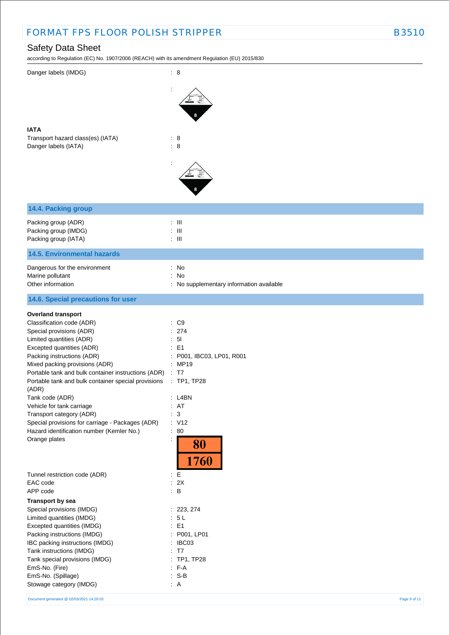## Safety Data Sheet

according to Regulation (EC) No. 1907/2006 (REACH) with its amendment Regulation (EU) 2015/830

| Danger labels (IMDG)                                                | : 8                                             |
|---------------------------------------------------------------------|-------------------------------------------------|
|                                                                     |                                                 |
| <b>IATA</b>                                                         |                                                 |
| Transport hazard class(es) (IATA)<br>Danger labels (IATA)           | : 8<br>: 8                                      |
|                                                                     |                                                 |
| 14.4. Packing group                                                 |                                                 |
| Packing group (ADR)<br>Packing group (IMDG)<br>Packing group (IATA) | $: \mathbb{H}$<br>$:$ $\mathbb{H}$<br>$\pm$ 111 |
| <b>14.5. Environmental hazards</b>                                  |                                                 |
| Dangerous for the environment                                       | : No                                            |
| Marine pollutant                                                    | : No                                            |
| Other information                                                   | : No supplementary information available        |
| 14.6. Special precautions for user                                  |                                                 |
| <b>Overland transport</b>                                           |                                                 |
| Classification code (ADR)                                           | $\therefore$ C9                                 |
| Special provisions (ADR)<br>Limited quantities (ADR)                | : 274<br>: 51                                   |
| Excepted quantities (ADR)                                           | : E1                                            |
| Packing instructions (ADR)                                          | P001, IBC03, LP01, R001                         |
| Mixed packing provisions (ADR)                                      | : MP19                                          |
| Portable tank and bulk container instructions (ADR)                 | $\therefore$ T7                                 |
| Portable tank and bulk container special provisions<br>(ADR)        | $:$ TP1, TP28                                   |
| Tank code (ADR)                                                     | : L4BN                                          |
| Vehicle for tank carriage<br>Transport category (ADR)               | : AT<br>$\therefore$ 3                          |
| Special provisions for carriage - Packages (ADR)                    | : V12                                           |
| Hazard identification number (Kemler No.)                           | 80<br>÷.                                        |
| Orange plates                                                       | 80<br>1760                                      |
| Tunnel restriction code (ADR)                                       | : $\mathsf{E}% _{\mathsf{M}}$                   |
| EAC code<br>APP code                                                | : 2X<br>$\therefore$ B                          |
| Transport by sea                                                    |                                                 |
| Special provisions (IMDG)                                           | : 223, 274                                      |
| Limited quantities (IMDG)                                           | : 5L                                            |
| Excepted quantities (IMDG)                                          | : E1                                            |
| Packing instructions (IMDG)<br>IBC packing instructions (IMDG)      | P001, LP01<br>: IBC03                           |
| Tank instructions (IMDG)                                            | <b>T7</b>                                       |
| Tank special provisions (IMDG)                                      | <b>TP1, TP28</b>                                |
| EmS-No. (Fire)                                                      | $: F-A$                                         |
| EmS-No. (Spillage)                                                  | $: S-B$                                         |
| Stowage category (IMDG)                                             | $\therefore$ A                                  |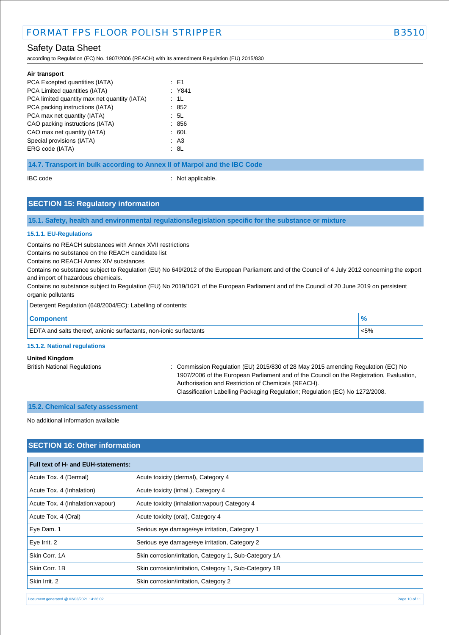## Safety Data Sheet

according to Regulation (EC) No. 1907/2006 (REACH) with its amendment Regulation (EU) 2015/830

| Air transport                                |        |
|----------------------------------------------|--------|
| PCA Excepted quantities (IATA)               | : E1   |
| PCA Limited quantities (IATA)                | : Y841 |
| PCA limited quantity max net quantity (IATA) | : 1L   |
| PCA packing instructions (IATA)              | : 852  |
| PCA max net quantity (IATA)                  | : 5L   |
| CAO packing instructions (IATA)              | : 856  |
| CAO max net quantity (IATA)                  | : 60L  |
| Special provisions (IATA)                    | : A3   |
| ERG code (IATA)                              | : 8L   |
|                                              |        |

#### **14.7. Transport in bulk according to Annex II of Marpol and the IBC Code**

IBC code : Not applicable.

### **SECTION 15: Regulatory information**

**15.1. Safety, health and environmental regulations/legislation specific for the substance or mixture**

#### **15.1.1. EU-Regulations**

Contains no REACH substances with Annex XVII restrictions

Contains no substance on the REACH candidate list

Contains no REACH Annex XIV substances

Contains no substance subject to Regulation (EU) No 649/2012 of the European Parliament and of the Council of 4 July 2012 concerning the export and import of hazardous chemicals.

Contains no substance subject to Regulation (EU) No 2019/1021 of the European Parliament and of the Council of 20 June 2019 on persistent organic pollutants

| Detergent Regulation (648/2004/EC): Labelling of contents:                |         |  |
|---------------------------------------------------------------------------|---------|--|
| <b>Component</b>                                                          |         |  |
| <b>EDTA</b> and salts thereof, anionic surfactants, non-ionic surfactants | $< 5\%$ |  |

#### **15.1.2. National regulations**

#### **United Kingdom**

British National Regulations : Commission Regulation (EU) 2015/830 of 28 May 2015 amending Regulation (EC) No 1907/2006 of the European Parliament and of the Council on the Registration, Evaluation, Authorisation and Restriction of Chemicals (REACH). Classification Labelling Packaging Regulation; Regulation (EC) No 1272/2008.

**15.2. Chemical safety assessment**

No additional information available

### **SECTION 16: Other information**

| Full text of H- and EUH-statements: |                                                        |  |  |
|-------------------------------------|--------------------------------------------------------|--|--|
| Acute Tox. 4 (Dermal)               | Acute toxicity (dermal), Category 4                    |  |  |
| Acute Tox. 4 (Inhalation)           | Acute toxicity (inhal.), Category 4                    |  |  |
| Acute Tox. 4 (Inhalation: vapour)   | Acute toxicity (inhalation: vapour) Category 4         |  |  |
| Acute Tox. 4 (Oral)                 | Acute toxicity (oral), Category 4                      |  |  |
| Eye Dam. 1                          | Serious eye damage/eye irritation, Category 1          |  |  |
| Eye Irrit. 2                        | Serious eye damage/eye irritation, Category 2          |  |  |
| Skin Corr. 1A                       | Skin corrosion/irritation, Category 1, Sub-Category 1A |  |  |
| Skin Corr. 1B                       | Skin corrosion/irritation, Category 1, Sub-Category 1B |  |  |
| Skin Irrit, 2                       | Skin corrosion/irritation, Category 2                  |  |  |

Document generated @ 02/03/2021 14:26:02 Page 10 of 11